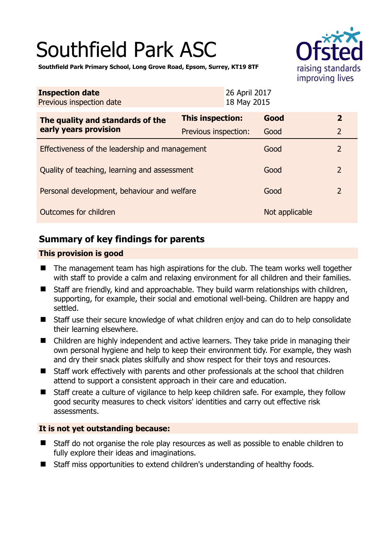# Southfield Park ASC



**Southfield Park Primary School, Long Grove Road, Epsom, Surrey, KT19 8TF** 

| <b>Inspection date</b><br>Previous inspection date        | 26 April 2017<br>18 May 2015 |                |                |
|-----------------------------------------------------------|------------------------------|----------------|----------------|
| The quality and standards of the<br>early years provision | This inspection:             | Good           | $\overline{2}$ |
|                                                           | Previous inspection:         | Good           | $\overline{2}$ |
| Effectiveness of the leadership and management            |                              | Good           | $\overline{2}$ |
| Quality of teaching, learning and assessment              |                              | Good           | $\overline{2}$ |
| Personal development, behaviour and welfare               |                              | Good           | $\overline{2}$ |
| Outcomes for children                                     |                              | Not applicable |                |

## **Summary of key findings for parents**

#### **This provision is good**

- The management team has high aspirations for the club. The team works well together with staff to provide a calm and relaxing environment for all children and their families.
- Staff are friendly, kind and approachable. They build warm relationships with children, supporting, for example, their social and emotional well-being. Children are happy and settled.
- Staff use their secure knowledge of what children enjoy and can do to help consolidate their learning elsewhere.
- Children are highly independent and active learners. They take pride in managing their own personal hygiene and help to keep their environment tidy. For example, they wash and dry their snack plates skilfully and show respect for their toys and resources.
- Staff work effectively with parents and other professionals at the school that children attend to support a consistent approach in their care and education.
- Staff create a culture of vigilance to help keep children safe. For example, they follow good security measures to check visitors' identities and carry out effective risk assessments.

#### **It is not yet outstanding because:**

- Staff do not organise the role play resources as well as possible to enable children to fully explore their ideas and imaginations.
- Staff miss opportunities to extend children's understanding of healthy foods.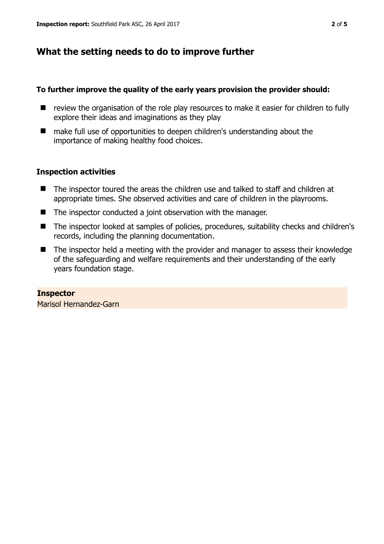## **What the setting needs to do to improve further**

#### **To further improve the quality of the early years provision the provider should:**

- review the organisation of the role play resources to make it easier for children to fully explore their ideas and imaginations as they play
- make full use of opportunities to deepen children's understanding about the importance of making healthy food choices.

#### **Inspection activities**

- The inspector toured the areas the children use and talked to staff and children at appropriate times. She observed activities and care of children in the playrooms.
- The inspector conducted a joint observation with the manager.
- The inspector looked at samples of policies, procedures, suitability checks and children's records, including the planning documentation.
- The inspector held a meeting with the provider and manager to assess their knowledge of the safeguarding and welfare requirements and their understanding of the early years foundation stage.

**Inspector**  Marisol Hernandez-Garn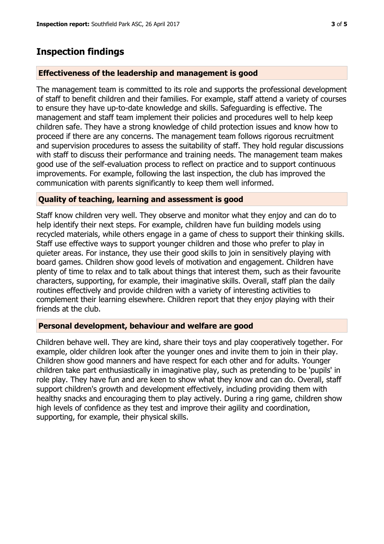## **Inspection findings**

#### **Effectiveness of the leadership and management is good**

The management team is committed to its role and supports the professional development of staff to benefit children and their families. For example, staff attend a variety of courses to ensure they have up-to-date knowledge and skills. Safeguarding is effective. The management and staff team implement their policies and procedures well to help keep children safe. They have a strong knowledge of child protection issues and know how to proceed if there are any concerns. The management team follows rigorous recruitment and supervision procedures to assess the suitability of staff. They hold regular discussions with staff to discuss their performance and training needs. The management team makes good use of the self-evaluation process to reflect on practice and to support continuous improvements. For example, following the last inspection, the club has improved the communication with parents significantly to keep them well informed.

#### **Quality of teaching, learning and assessment is good**

Staff know children very well. They observe and monitor what they enjoy and can do to help identify their next steps. For example, children have fun building models using recycled materials, while others engage in a game of chess to support their thinking skills. Staff use effective ways to support younger children and those who prefer to play in quieter areas. For instance, they use their good skills to join in sensitively playing with board games. Children show good levels of motivation and engagement. Children have plenty of time to relax and to talk about things that interest them, such as their favourite characters, supporting, for example, their imaginative skills. Overall, staff plan the daily routines effectively and provide children with a variety of interesting activities to complement their learning elsewhere. Children report that they enjoy playing with their friends at the club.

#### **Personal development, behaviour and welfare are good**

Children behave well. They are kind, share their toys and play cooperatively together. For example, older children look after the younger ones and invite them to join in their play. Children show good manners and have respect for each other and for adults. Younger children take part enthusiastically in imaginative play, such as pretending to be 'pupils' in role play. They have fun and are keen to show what they know and can do. Overall, staff support children's growth and development effectively, including providing them with healthy snacks and encouraging them to play actively. During a ring game, children show high levels of confidence as they test and improve their agility and coordination, supporting, for example, their physical skills.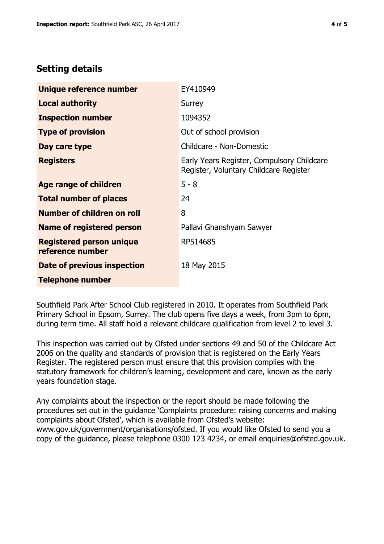### **Setting details**

| Unique reference number                             | EY410949                                                                             |  |
|-----------------------------------------------------|--------------------------------------------------------------------------------------|--|
| <b>Local authority</b>                              | Surrey                                                                               |  |
| <b>Inspection number</b>                            | 1094352                                                                              |  |
| <b>Type of provision</b>                            | Out of school provision                                                              |  |
| Day care type                                       | Childcare - Non-Domestic                                                             |  |
| <b>Registers</b>                                    | Early Years Register, Compulsory Childcare<br>Register, Voluntary Childcare Register |  |
| <b>Age range of children</b>                        | $5 - 8$                                                                              |  |
| <b>Total number of places</b>                       | 24                                                                                   |  |
| Number of children on roll                          | 8                                                                                    |  |
| <b>Name of registered person</b>                    | Pallavi Ghanshyam Sawyer                                                             |  |
| <b>Registered person unique</b><br>reference number | RP514685                                                                             |  |
| Date of previous inspection                         | 18 May 2015                                                                          |  |
| <b>Telephone number</b>                             |                                                                                      |  |

Southfield Park After School Club registered in 2010. It operates from Southfield Park Primary School in Epsom, Surrey. The club opens five days a week, from 3pm to 6pm, during term time. All staff hold a relevant childcare qualification from level 2 to level 3.

This inspection was carried out by Ofsted under sections 49 and 50 of the Childcare Act 2006 on the quality and standards of provision that is registered on the Early Years Register. The registered person must ensure that this provision complies with the statutory framework for children's learning, development and care, known as the early years foundation stage.

Any complaints about the inspection or the report should be made following the procedures set out in the guidance 'Complaints procedure: raising concerns and making complaints about Ofsted', which is available from Ofsted's website: www.gov.uk/government/organisations/ofsted. If you would like Ofsted to send you a copy of the guidance, please telephone 0300 123 4234, or email enquiries@ofsted.gov.uk.